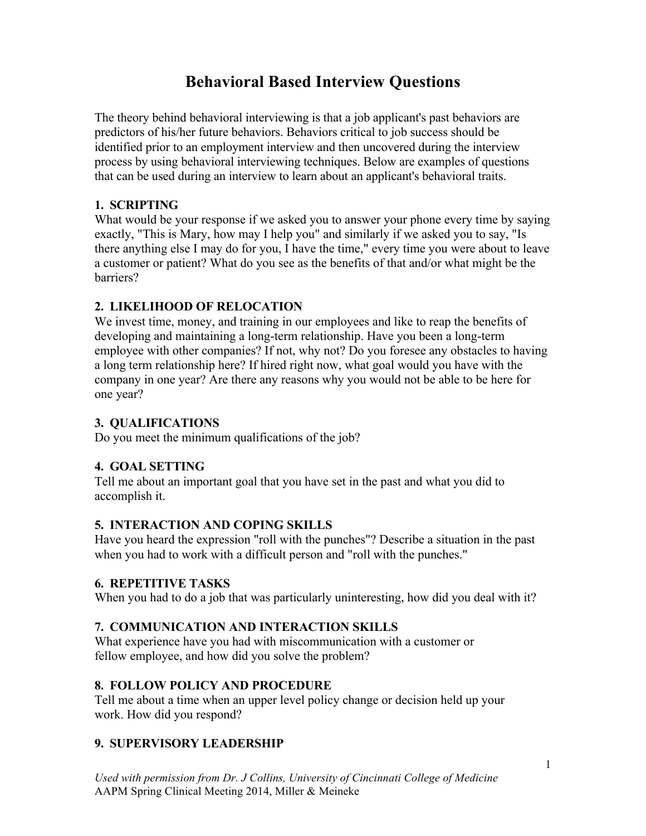# **Behavioral Based Interview Questions**

The theory behind behavioral interviewing is that a job applicant's past behaviors are predictors of his/her future behaviors. Behaviors critical to job success should be identified prior to an employment interview and then uncovered during the interview process by using behavioral interviewing techniques. Below are examples of questions that can be used during an interview to learn about an applicant's behavioral traits.

## **1. SCRIPTING**

What would be your response if we asked you to answer your phone every time by saying exactly, "This is Mary, how may I help you" and similarly if we asked you to say, "Is there anything else I may do for you, I have the time," every time you were about to leave a customer or patient? What do you see as the benefits of that and/or what might be the barriers?

## **2. LIKELIHOOD OF RELOCATION**

We invest time, money, and training in our employees and like to reap the benefits of developing and maintaining a long-term relationship. Have you been a long-term employee with other companies? If not, why not? Do you foresee any obstacles to having a long term relationship here? If hired right now, what goal would you have with the company in one year? Are there any reasons why you would not be able to be here for one year?

# **3. QUALIFICATIONS**

Do you meet the minimum qualifications of the job?

# **4. GOAL SETTING**

Tell me about an important goal that you have set in the past and what you did to accomplish it.

## **5. INTERACTION AND COPING SKILLS**

Have you heard the expression "roll with the punches"? Describe a situation in the past when you had to work with a difficult person and "roll with the punches."

## **6. REPETITIVE TASKS**

When you had to do a job that was particularly uninteresting, how did you deal with it?

# **7. COMMUNICATION AND INTERACTION SKILLS**

What experience have you had with miscommunication with a customer or fellow employee, and how did you solve the problem?

## **8. FOLLOW POLICY AND PROCEDURE**

Tell me about a time when an upper level policy change or decision held up your work. How did you respond?

# **9. SUPERVISORY LEADERSHIP**

*Used with permission from Dr. J Collins, University of Cincinnati College of Medicine* AAPM Spring Clinical Meeting 2014, Miller & Meineke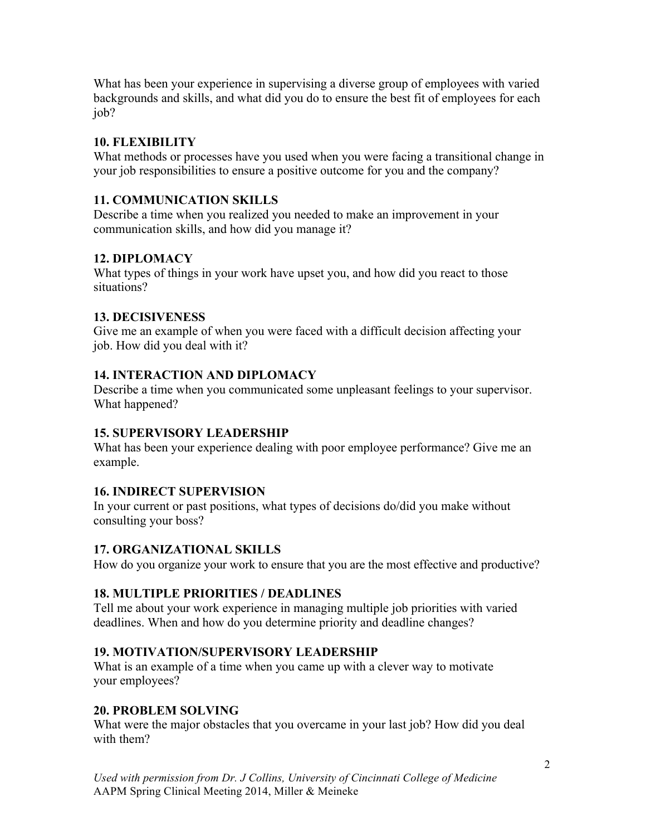What has been your experience in supervising a diverse group of employees with varied backgrounds and skills, and what did you do to ensure the best fit of employees for each job?

# **10. FLEXIBILITY**

What methods or processes have you used when you were facing a transitional change in your job responsibilities to ensure a positive outcome for you and the company?

# **11. COMMUNICATION SKILLS**

Describe a time when you realized you needed to make an improvement in your communication skills, and how did you manage it?

# **12. DIPLOMACY**

What types of things in your work have upset you, and how did you react to those situations?

## **13. DECISIVENESS**

Give me an example of when you were faced with a difficult decision affecting your job. How did you deal with it?

# **14. INTERACTION AND DIPLOMACY**

Describe a time when you communicated some unpleasant feelings to your supervisor. What happened?

# **15. SUPERVISORY LEADERSHIP**

What has been your experience dealing with poor employee performance? Give me an example.

## **16. INDIRECT SUPERVISION**

In your current or past positions, what types of decisions do/did you make without consulting your boss?

## **17. ORGANIZATIONAL SKILLS**

How do you organize your work to ensure that you are the most effective and productive?

# **18. MULTIPLE PRIORITIES / DEADLINES**

Tell me about your work experience in managing multiple job priorities with varied deadlines. When and how do you determine priority and deadline changes?

# **19. MOTIVATION/SUPERVISORY LEADERSHIP**

What is an example of a time when you came up with a clever way to motivate your employees?

# **20. PROBLEM SOLVING**

What were the major obstacles that you overcame in your last job? How did you deal with them?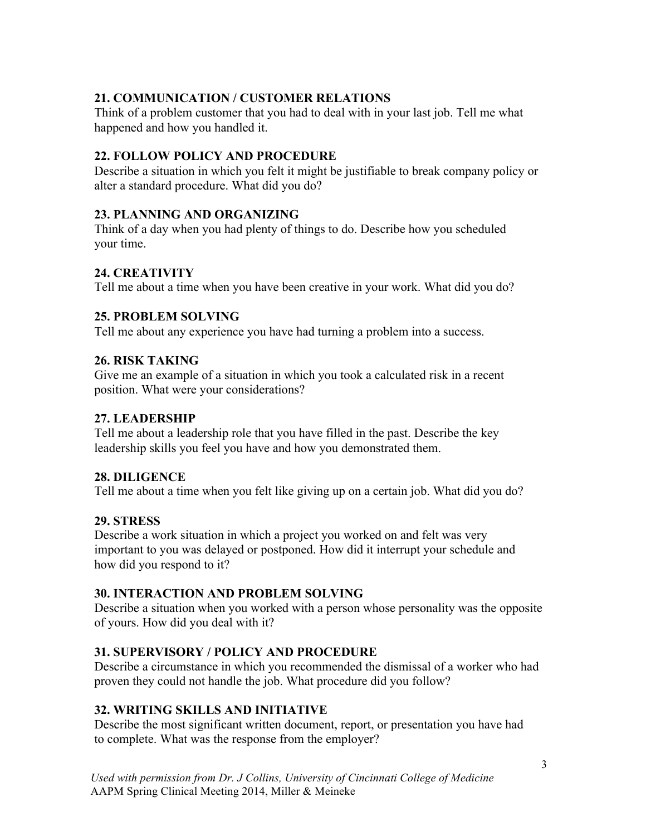# **21. COMMUNICATION / CUSTOMER RELATIONS**

Think of a problem customer that you had to deal with in your last job. Tell me what happened and how you handled it.

## **22. FOLLOW POLICY AND PROCEDURE**

Describe a situation in which you felt it might be justifiable to break company policy or alter a standard procedure. What did you do?

## **23. PLANNING AND ORGANIZING**

Think of a day when you had plenty of things to do. Describe how you scheduled your time.

# **24. CREATIVITY**

Tell me about a time when you have been creative in your work. What did you do?

## **25. PROBLEM SOLVING**

Tell me about any experience you have had turning a problem into a success.

## **26. RISK TAKING**

Give me an example of a situation in which you took a calculated risk in a recent position. What were your considerations?

## **27. LEADERSHIP**

Tell me about a leadership role that you have filled in the past. Describe the key leadership skills you feel you have and how you demonstrated them.

## **28. DILIGENCE**

Tell me about a time when you felt like giving up on a certain job. What did you do?

## **29. STRESS**

Describe a work situation in which a project you worked on and felt was very important to you was delayed or postponed. How did it interrupt your schedule and how did you respond to it?

## **30. INTERACTION AND PROBLEM SOLVING**

Describe a situation when you worked with a person whose personality was the opposite of yours. How did you deal with it?

## **31. SUPERVISORY / POLICY AND PROCEDURE**

Describe a circumstance in which you recommended the dismissal of a worker who had proven they could not handle the job. What procedure did you follow?

# **32. WRITING SKILLS AND INITIATIVE**

Describe the most significant written document, report, or presentation you have had to complete. What was the response from the employer?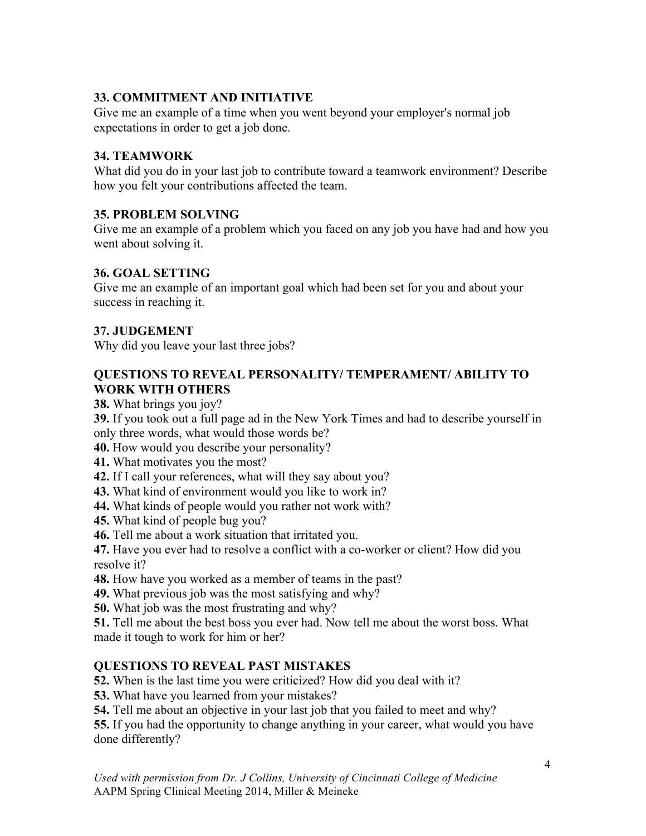# **33. COMMITMENT AND INITIATIVE**

Give me an example of a time when you went beyond your employer's normal job expectations in order to get a job done.

# **34. TEAMWORK**

What did you do in your last job to contribute toward a teamwork environment? Describe how you felt your contributions affected the team.

## **35. PROBLEM SOLVING**

Give me an example of a problem which you faced on any job you have had and how you went about solving it.

## **36. GOAL SETTING**

Give me an example of an important goal which had been set for you and about your success in reaching it.

## **37. JUDGEMENT**

Why did you leave your last three jobs?

## **QUESTIONS TO REVEAL PERSONALITY/ TEMPERAMENT/ ABILITY TO WORK WITH OTHERS**

**38.** What brings you joy?

**39.** If you took out a full page ad in the New York Times and had to describe yourself in only three words, what would those words be?

**40.** How would you describe your personality?

**41.** What motivates you the most?

- **42.** If I call your references, what will they say about you?
- **43.** What kind of environment would you like to work in?
- **44.** What kinds of people would you rather not work with?
- **45.** What kind of people bug you?
- **46.** Tell me about a work situation that irritated you.

**47.** Have you ever had to resolve a conflict with a co-worker or client? How did you resolve it?

- **48.** How have you worked as a member of teams in the past?
- **49.** What previous job was the most satisfying and why?
- **50.** What job was the most frustrating and why?

**51.** Tell me about the best boss you ever had. Now tell me about the worst boss. What made it tough to work for him or her?

# **QUESTIONS TO REVEAL PAST MISTAKES**

**52.** When is the last time you were criticized? How did you deal with it?

**53.** What have you learned from your mistakes?

**54.** Tell me about an objective in your last job that you failed to meet and why?

**55.** If you had the opportunity to change anything in your career, what would you have done differently?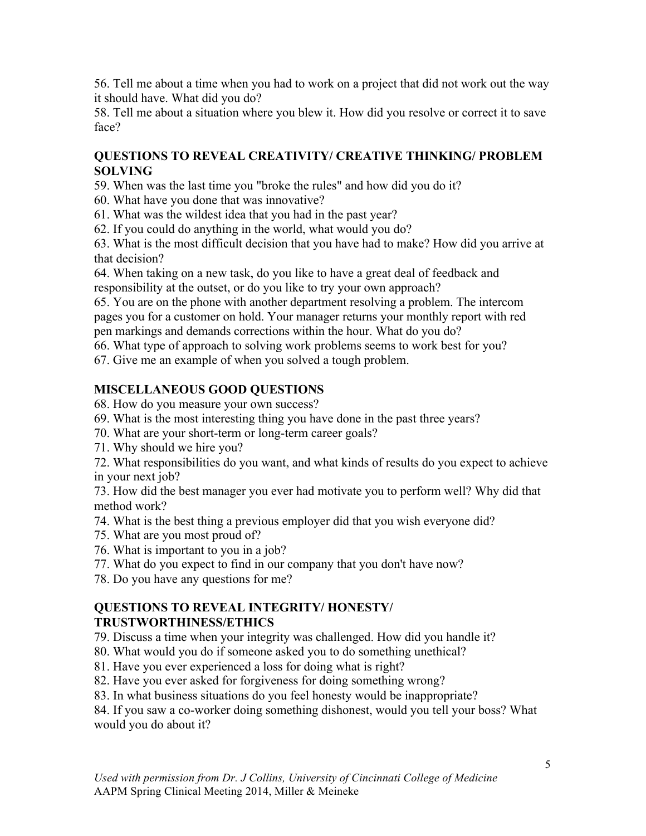56. Tell me about a time when you had to work on a project that did not work out the way it should have. What did you do?

58. Tell me about a situation where you blew it. How did you resolve or correct it to save face?

## **QUESTIONS TO REVEAL CREATIVITY/ CREATIVE THINKING/ PROBLEM SOLVING**

59. When was the last time you "broke the rules" and how did you do it?

60. What have you done that was innovative?

61. What was the wildest idea that you had in the past year?

62. If you could do anything in the world, what would you do?

63. What is the most difficult decision that you have had to make? How did you arrive at that decision?

64. When taking on a new task, do you like to have a great deal of feedback and responsibility at the outset, or do you like to try your own approach?

65. You are on the phone with another department resolving a problem. The intercom pages you for a customer on hold. Your manager returns your monthly report with red pen markings and demands corrections within the hour. What do you do?

66. What type of approach to solving work problems seems to work best for you?

67. Give me an example of when you solved a tough problem.

# **MISCELLANEOUS GOOD QUESTIONS**

68. How do you measure your own success?

- 69. What is the most interesting thing you have done in the past three years?
- 70. What are your short-term or long-term career goals?
- 71. Why should we hire you?

72. What responsibilities do you want, and what kinds of results do you expect to achieve in your next job?

73. How did the best manager you ever had motivate you to perform well? Why did that method work?

- 74. What is the best thing a previous employer did that you wish everyone did?
- 75. What are you most proud of?
- 76. What is important to you in a job?
- 77. What do you expect to find in our company that you don't have now?
- 78. Do you have any questions for me?

#### **QUESTIONS TO REVEAL INTEGRITY/ HONESTY/ TRUSTWORTHINESS/ETHICS**

79. Discuss a time when your integrity was challenged. How did you handle it?

- 80. What would you do if someone asked you to do something unethical?
- 81. Have you ever experienced a loss for doing what is right?
- 82. Have you ever asked for forgiveness for doing something wrong?
- 83. In what business situations do you feel honesty would be inappropriate?

84. If you saw a co-worker doing something dishonest, would you tell your boss? What would you do about it?